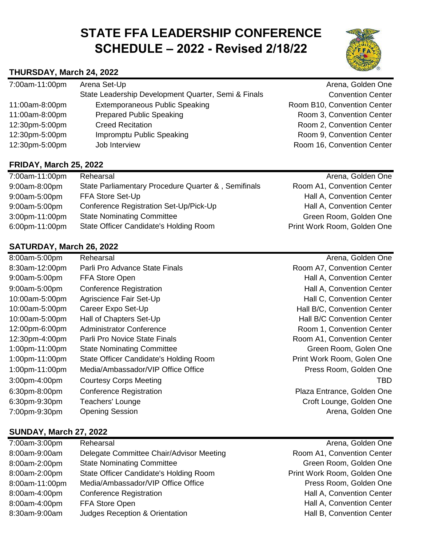# **STATE FFA LEADERSHIP CONFERENCE SCHEDULE – 2022 - Revised 2/18/22**

## **THURSDAY, March 24, 2022**

| 7:00am-11:00pm | Arena Set-Up                                        | Arena, Golden One           |
|----------------|-----------------------------------------------------|-----------------------------|
|                | State Leadership Development Quarter, Semi & Finals | <b>Convention Center</b>    |
| 11:00am-8:00pm | <b>Extemporaneous Public Speaking</b>               | Room B10, Convention Center |
| 11:00am-8:00pm | <b>Prepared Public Speaking</b>                     | Room 3, Convention Center   |
| 12:30pm-5:00pm | <b>Creed Recitation</b>                             | Room 2, Convention Center   |
| 12:30pm-5:00pm | Impromptu Public Speaking                           | Room 9, Convention Center   |
| 12:30pm-5:00pm | Job Interview                                       | Room 16, Convention Center  |
|                |                                                     |                             |

#### **FRIDAY, March 25, 2022**

| 7:00am-11:00pm | Rehearsal                                           | Arena, Golden One           |
|----------------|-----------------------------------------------------|-----------------------------|
| 9:00am-8:00pm  | State Parliamentary Procedure Quarter &, Semifinals | Room A1, Convention Center  |
| 9:00am-5:00pm  | FFA Store Set-Up                                    | Hall A, Convention Center   |
| 9:00am-5:00pm  | Conference Registration Set-Up/Pick-Up              | Hall A, Convention Center   |
| 3:00pm-11:00pm | <b>State Nominating Committee</b>                   | Green Room, Golden One      |
| 6:00pm-11:00pm | State Officer Candidate's Holding Room              | Print Work Room, Golden One |

#### **SATURDAY, March 26, 2022**

| 8:00am-5:00pm  | Rehearsal                              | Arena, Golden One                 |
|----------------|----------------------------------------|-----------------------------------|
| 8:30am-12:00pm | Parli Pro Advance State Finals         | Room A7, Convention Center        |
| 9:00am-5:00pm  | FFA Store Open                         | Hall A, Convention Center         |
| 9:00am-5:00pm  | <b>Conference Registration</b>         | Hall A, Convention Center         |
| 10:00am-5:00pm | Agriscience Fair Set-Up                | Hall C, Convention Center         |
| 10:00am-5:00pm | Career Expo Set-Up                     | Hall B/C, Convention Center       |
| 10:00am-5:00pm | Hall of Chapters Set-Up                | <b>Hall B/C Convention Center</b> |
| 12:00pm-6:00pm | <b>Administrator Conference</b>        | Room 1, Convention Center         |
| 12:30pm-4:00pm | Parli Pro Novice State Finals          | Room A1, Convention Center        |
| 1:00pm-11:00pm | <b>State Nominating Committee</b>      | Green Room, Golen One             |
| 1:00pm-11:00pm | State Officer Candidate's Holding Room | Print Work Room, Golen One        |
| 1:00pm-11:00pm | Media/Ambassador/VIP Office Office     | Press Room, Golden One            |
| 3:00pm-4:00pm  | <b>Courtesy Corps Meeting</b>          | <b>TBD</b>                        |
| 6:30pm-8:00pm  | <b>Conference Registration</b>         | Plaza Entrance, Golden One        |
| 6:30pm-9:30pm  | Teachers' Lounge                       | Croft Lounge, Golden One          |
| 7:00pm-9:30pm  | <b>Opening Session</b>                 | Arena, Golden One                 |

### **SUNDAY, March 27, 2022**

| 7:00am-3:00pm  | Rehearsal                                | Arena, Golden One           |
|----------------|------------------------------------------|-----------------------------|
| 8:00am-9:00am  | Delegate Committee Chair/Advisor Meeting | Room A1, Convention Center  |
| 8:00am-2:00pm  | <b>State Nominating Committee</b>        | Green Room, Golden One      |
| 8:00am-2:00pm  | State Officer Candidate's Holding Room   | Print Work Room, Golden One |
| 8:00am-11:00pm | Media/Ambassador/VIP Office Office       | Press Room, Golden One      |
| 8:00am-4:00pm  | <b>Conference Registration</b>           | Hall A, Convention Center   |
| 8:00am-4:00pm  | FFA Store Open                           | Hall A, Convention Center   |
| 8:30am-9:00am  | Judges Reception & Orientation           | Hall B, Convention Center   |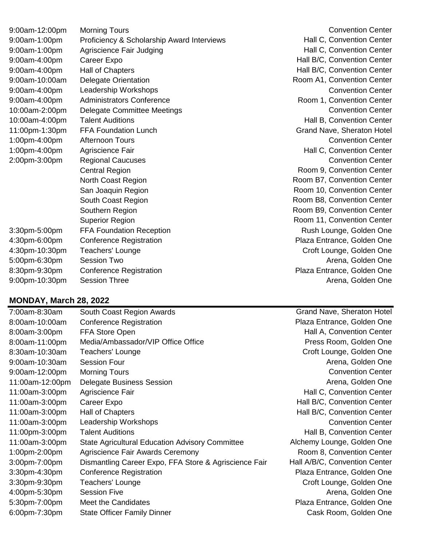| 9:00am-12:00pm | <b>Morning Tours</b>                       |
|----------------|--------------------------------------------|
| 9:00am-1:00pm  | Proficiency & Scholarship Award Interviews |
| 9:00am-1:00pm  | Agriscience Fair Judging                   |
| 9:00am-4:00pm  | Career Expo                                |
| 9:00am-4:00pm  | Hall of Chapters                           |
| 9:00am-10:00am | <b>Delegate Orientation</b>                |
| 9:00am-4:00pm  | Leadership Workshops                       |
| 9:00am-4:00pm  | <b>Administrators Conference</b>           |
| 10:00am-2:00pm | <b>Delegate Committee Meetings</b>         |
| 10:00am-4:00pm | <b>Talent Auditions</b>                    |
| 11:00pm-1:30pm | <b>FFA Foundation Lunch</b>                |
| 1:00pm-4:00pm  | <b>Afternoon Tours</b>                     |
| 1:00pm-4:00pm  | Agriscience Fair                           |
| 2:00pm-3:00pm  | <b>Regional Caucuses</b>                   |
|                | <b>Central Region</b>                      |
|                | North Coast Region                         |
|                | San Joaquin Region                         |
|                | South Coast Region                         |
|                | Southern Region                            |
|                | <b>Superior Region</b>                     |
| 3:30pm-5:00pm  | <b>FFA Foundation Reception</b>            |
| 4:30pm-6:00pm  | <b>Conference Registration</b>             |
| 4:30pm-10:30pm | Teachers' Lounge                           |
| 5:00pm-6:30pm  | <b>Session Two</b>                         |
| 8:30pm-9:30pm  | <b>Conference Registration</b>             |
| 9:00pm-10:30pm | <b>Session Three</b>                       |

#### **MONDAY, March 28, 2022**

| 7:00am-8:30am   | South Coast Region Awards                              | <b>Grand Nave, Sheraton Hotel</b> |
|-----------------|--------------------------------------------------------|-----------------------------------|
| 8:00am-10:00am  | <b>Conference Registration</b>                         | Plaza Entrance, Golden One        |
| 8:00am-3:00pm   | FFA Store Open                                         | Hall A, Convention Center         |
| 8:00am-11:00pm  | Media/Ambassador/VIP Office Office                     | Press Room, Golden One            |
| 8:30am-10:30am  | Teachers' Lounge                                       | Croft Lounge, Golden One          |
| 9:00am-10:30am  | <b>Session Four</b>                                    | Arena, Golden One                 |
| 9:00am-12:00pm  | <b>Morning Tours</b>                                   | <b>Convention Center</b>          |
| 11:00am-12:00pm | <b>Delegate Business Session</b>                       | Arena, Golden One                 |
| 11:00am-3:00pm  | Agriscience Fair                                       | Hall C, Convention Center         |
| 11:00am-3:00pm  | Career Expo                                            | Hall B/C, Convention Center       |
| 11:00am-3:00pm  | Hall of Chapters                                       | Hall B/C, Convention Center       |
| 11:00am-3:00pm  | Leadership Workshops                                   | <b>Convention Center</b>          |
| 11:00pm-3:00pm  | <b>Talent Auditions</b>                                | Hall B, Convention Center         |
| 11:00am-3:00pm  | <b>State Agricultural Education Advisory Committee</b> | Alchemy Lounge, Golden One        |
| 1:00pm-2:00pm   | Agriscience Fair Awards Ceremony                       | Room 8, Convention Center         |
| 3:00pm-7:00pm   | Dismantling Career Expo, FFA Store & Agriscience Fair  | Hall A/B/C, Convention Center     |
| 3:30pm-4:30pm   | <b>Conference Registration</b>                         | Plaza Entrance, Golden One        |
| 3:30pm-9:30pm   | Teachers' Lounge                                       | Croft Lounge, Golden One          |
| 4:00pm-5:30pm   | <b>Session Five</b>                                    | Arena, Golden One                 |
| 5:30pm-7:00pm   | Meet the Candidates                                    | Plaza Entrance, Golden One        |
| 6:00pm-7:30pm   | <b>State Officer Family Dinner</b>                     | Cask Room, Golden One             |

**Convention Center** Hall C, Convention Center Hall C, Convention Center Hall B/C, Convention Center Hall B/C, Convention Center Room A1, Convention Center **Convention Center** Room 1, Convention Center Convention Center Hall B, Convention Center Grand Nave, Sheraton Hotel Convention Center Hall C, Convention Center **Convention Center** Room 9, Convention Center Room B7, Convention Center Room 10, Convention Center Room B8, Convention Center Room B9, Convention Center Room 11, Convention Center Rush Lounge, Golden One Plaza Entrance, Golden One Croft Lounge, Golden One Arena, Golden One Plaza Entrance, Golden One Arena, Golden One